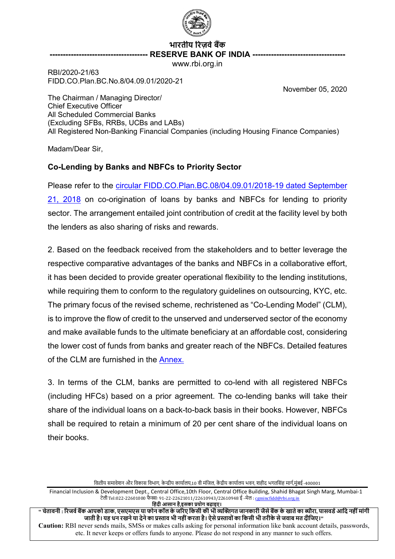

# **भारतीय �रज़व�ब�क ------------------------------------- RESERVE BANK OF INDIA -----------------------------------**

www.rbi.org.in

RBI/2020-21/63 FIDD.CO.Plan.BC.No.8/04.09.01/2020-21

November 05, 2020

The Chairman / Managing Director/ Chief Executive Officer All Scheduled Commercial Banks (Excluding SFBs, RRBs, UCBs and LABs) All Registered Non-Banking Financial Companies (including Housing Finance Companies)

Madam/Dear Sir,

## **Co-Lending by Banks and NBFCs to Priority Sector**

Please refer to the [circular FIDD.CO.Plan.BC.08/04.09.01/2018-19 dated September](https://www.rbi.org.in/Scripts/NotificationUser.aspx?Id=11376&Mode=0)  [21, 2018](https://www.rbi.org.in/Scripts/NotificationUser.aspx?Id=11376&Mode=0) on co-origination of loans by banks and NBFCs for lending to priority sector. The arrangement entailed joint contribution of credit at the facility level by both the lenders as also sharing of risks and rewards.

2. Based on the feedback received from the stakeholders and to better leverage the respective comparative advantages of the banks and NBFCs in a collaborative effort, it has been decided to provide greater operational flexibility to the lending institutions, while requiring them to conform to the regulatory guidelines on outsourcing, KYC, etc. The primary focus of the revised scheme, rechristened as "Co-Lending Model" (CLM), is to improve the flow of credit to the unserved and underserved sector of the economy and make available funds to the ultimate beneficiary at an affordable cost, considering the lower cost of funds from banks and greater reach of the NBFCs. Detailed features of the CLM are furnished in the [Annex.](#page-2-0)

3. In terms of the CLM, banks are permitted to co-lend with all registered NBFCs (including HFCs) based on a prior agreement. The co-lending banks will take their share of the individual loans on a back-to-back basis in their books. However, NBFCs shall be required to retain a minimum of 20 per cent share of the individual loans on their books.

वित्तीय समावेशन और विकास विभाग, केन्द्रीय कार्यालय,10 वी मंजिल, केंद्रीय कार्यालय भवन, शहीद भगतसिंह मार्ग,मुंबई -400001

Financial Inclusion & Development Dept., Central Office,10th Floor, Central Office Building, Shahid Bhagat Singh Marg, Mumbai-1 टेली Tel:022-22601000 फेक्सः 91-22-22621011/22610943/22610948 ई -मेल : <u>cgmincfidd@rbi.org.in</u>

**िहंदी आसान है**,**इसका प्रयोग बढ़ाइए।** ..<br>संचेतावनी : रिजर्व बैंक आपको डाक, एसएमएस या फोन कॉल के जरिए किसी की भी व्यक्तिगत जानकारी जैसे बैंक के खाते का ब्यौरा. पासवर्ड आदि नहीं मांगी . जाती है। यह धन रखने या देने का प्रस्ताव भी नहीं करता है। ऐसे प्रस्तावों का किसी भी तरीके से जवाब मत दीजिए।'' **Caution:** RBI never sends mails, SMSs or makes calls asking for personal information like bank account details, passwords, etc. It never keeps or offers funds to anyone. Please do not respond in any manner to such offers.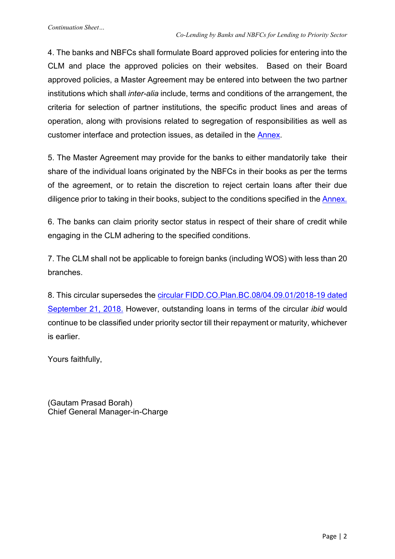4. The banks and NBFCs shall formulate Board approved policies for entering into the CLM and place the approved policies on their websites. Based on their Board approved policies, a Master Agreement may be entered into between the two partner institutions which shall *inter-alia* include, terms and conditions of the arrangement, the criteria for selection of partner institutions, the specific product lines and areas of operation, along with provisions related to segregation of responsibilities as well as customer interface and protection issues, as detailed in the [Annex.](#page-2-0)

5. The Master Agreement may provide for the banks to either mandatorily take their share of the individual loans originated by the NBFCs in their books as per the terms of the agreement, or to retain the discretion to reject certain loans after their due diligence prior to taking in their books, subject to the conditions specified in the [Annex.](#page-2-0)

6. The banks can claim priority sector status in respect of their share of credit while engaging in the CLM adhering to the specified conditions.

7. The CLM shall not be applicable to foreign banks (including WOS) with less than 20 branches.

8. This circular supersedes the [circular FIDD.CO.Plan.BC.08/04.09.01/2018-19 dated](https://www.rbi.org.in/Scripts/NotificationUser.aspx?Id=11376&Mode=0)  [September 21, 2018.](https://www.rbi.org.in/Scripts/NotificationUser.aspx?Id=11376&Mode=0) However, outstanding loans in terms of the circular *ibid* would continue to be classified under priority sector till their repayment or maturity, whichever is earlier.

Yours faithfully,

(Gautam Prasad Borah) Chief General Manager-in-Charge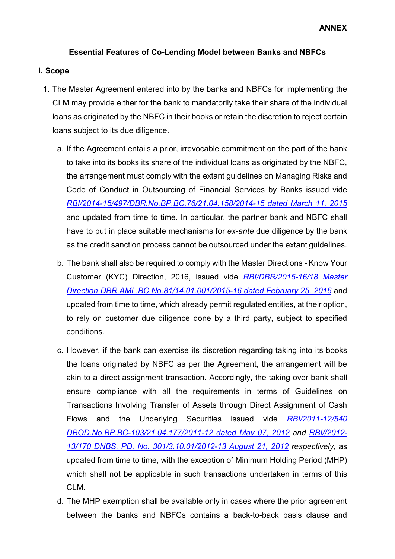## <span id="page-2-0"></span>**Essential Features of Co-Lending Model between Banks and NBFCs**

#### **I. Scope**

- 1. The Master Agreement entered into by the banks and NBFCs for implementing the CLM may provide either for the bank to mandatorily take their share of the individual loans as originated by the NBFC in their books or retain the discretion to reject certain loans subject to its due diligence.
	- a. If the Agreement entails a prior, irrevocable commitment on the part of the bank to take into its books its share of the individual loans as originated by the NBFC, the arrangement must comply with the extant guidelines on Managing Risks and Code of Conduct in Outsourcing of Financial Services by Banks issued vide *[RBI/2014-15/497/DBR.No.BP.BC.76/21.04.158/2014-15 dated March 11, 2015](https://www.rbi.org.in/scripts/NotificationUser.aspx?Id=9597&Mode=0)* and updated from time to time. In particular, the partner bank and NBFC shall have to put in place suitable mechanisms for *ex-ante* due diligence by the bank as the credit sanction process cannot be outsourced under the extant guidelines.
	- b. The bank shall also be required to comply with the Master Directions Know Your Customer (KYC) Direction, 2016, issued vide *[RBI/DBR/2015-16/18](https://www.rbi.org.in/Scripts/BS_ViewMasDirections.aspx?id=11566) Master [Direction DBR.AML.BC.No.81/14.01.001/2015-16 dated February 25, 2016](https://www.rbi.org.in/Scripts/BS_ViewMasDirections.aspx?id=11566)* and updated from time to time, which already permit regulated entities, at their option, to rely on customer due diligence done by a third party, subject to specified conditions.
	- c. However, if the bank can exercise its discretion regarding taking into its books the loans originated by NBFC as per the Agreement, the arrangement will be akin to a direct assignment transaction. Accordingly, the taking over bank shall ensure compliance with all the requirements in terms of Guidelines on Transactions Involving Transfer of Assets through Direct Assignment of Cash Flows and the Underlying Securities issued vide *[RBI/2011-12/540](https://www.rbi.org.in/scripts/NotificationUser.aspx?Id=7184)  [DBOD.No.BP.BC-103/21.04.177/2011-12 dated May 07, 2012](https://www.rbi.org.in/scripts/NotificationUser.aspx?Id=7184) and [RBI//2012-](https://www.rbi.org.in/Scripts/NotificationUser.aspx?Id=7517&Mode=0) [13/170 DNBS. PD. No. 301/3.10.01/2012-13 August 21, 2012](https://www.rbi.org.in/Scripts/NotificationUser.aspx?Id=7517&Mode=0) respectively*, as updated from time to time, with the exception of Minimum Holding Period (MHP) which shall not be applicable in such transactions undertaken in terms of this CLM.
	- d. The MHP exemption shall be available only in cases where the prior agreement between the banks and NBFCs contains a back-to-back basis clause and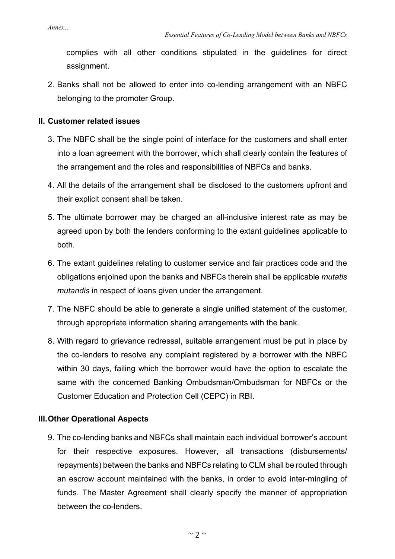complies with all other conditions stipulated in the guidelines for direct assignment.

2. Banks shall not be allowed to enter into co-lending arrangement with an NBFC belonging to the promoter Group.

#### **II. Customer related issues**

- 3. The NBFC shall be the single point of interface for the customers and shall enter into a loan agreement with the borrower, which shall clearly contain the features of the arrangement and the roles and responsibilities of NBFCs and banks.
- 4. All the details of the arrangement shall be disclosed to the customers upfront and their explicit consent shall be taken.
- 5. The ultimate borrower may be charged an all-inclusive interest rate as may be agreed upon by both the lenders conforming to the extant guidelines applicable to both.
- 6. The extant guidelines relating to customer service and fair practices code and the obligations enjoined upon the banks and NBFCs therein shall be applicable *mutatis mutandis* in respect of loans given under the arrangement.
- 7. The NBFC should be able to generate a single unified statement of the customer, through appropriate information sharing arrangements with the bank.
- 8. With regard to grievance redressal, suitable arrangement must be put in place by the co-lenders to resolve any complaint registered by a borrower with the NBFC within 30 days, failing which the borrower would have the option to escalate the same with the concerned Banking Ombudsman/Ombudsman for NBFCs or the Customer Education and Protection Cell (CEPC) in RBI.

### **III.Other Operational Aspects**

9. The co-lending banks and NBFCs shall maintain each individual borrower's account for their respective exposures. However, all transactions (disbursements/ repayments) between the banks and NBFCs relating to CLM shall be routed through an escrow account maintained with the banks, in order to avoid inter-mingling of funds. The Master Agreement shall clearly specify the manner of appropriation between the co-lenders.